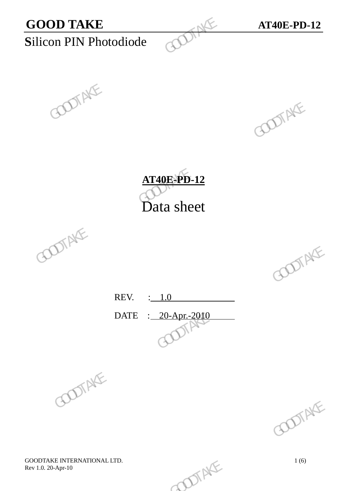









REV. : 1.0 DATE : 20-Apr.-2010 REV.  $\frac{1.0}{\sqrt{2000}}$  GOOTAKE





GOODTAKE INTERNATIONAL LTD.<br>
Rev 1.0. 20-Apr-10 Rev 1.0. 20-Apr-10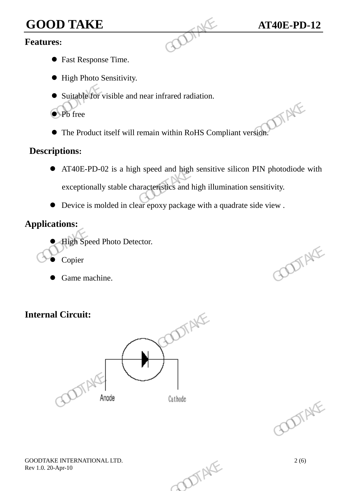# **GOOD TAKE AT40E-PD-12**<br>**Features:**

#### **Features:**

- Fast Response Time.
- $\bullet$  High Photo Sensitivity.
- Suitable for visible and near infrared radiation.
- $\bullet$  Pb free
- The Product itself will remain within RoHS Compliant version.

#### **Descriptions:**

- AT40E-PD-02 is a high speed and high sensitive silicon PIN photodiode with exceptionally stable characteristics and high illumination sensitivity. GOOD TAKE<br>
Features:<br>
• Fast Response Time.<br>
• High Photo Sensitivity.<br>
• Suitable for visible and near infrared radiation.<br>
• Pb free<br>
• The Product itself will remain within RoHS Comp<br>
Descriptions:<br>
• AT40E-PD-02 is a h The Product itself will remain within RoHS Compliant version.<br>
Descriptions:<br>
• AT40E-PD-02 is a high speed and high sensitive silicon PIN photodiode weighted and the characteristics and high illumination sensitivity.<br>
•
	- Device is molded in clear epoxy package with a quadrate side view .

### **Applications:**

- High Speed Photo Detector.
- Copier
- Game machine.

## **Internal Circuit:**





GOODTAKE INTERNATIONAL LTD.  $2(6)$ <br>Rev 1.0. 20-Apr-10 Rev 1.0. 20-Apr-10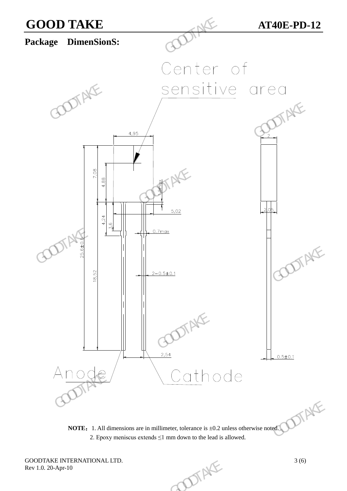

**NOTE:** 1. All dimensions are in millimeter, tolerance is  $\pm 0.2$  unless otherwise noted. 2. Epoxy meniscus extends  $\leq 1$  mm down to the lead is allowed.

GOODTAKE INTERNATIONAL LTD.<br>Rev 1.0. 20-Apr-10 3 (6) Rev 1.0. 20-Apr-10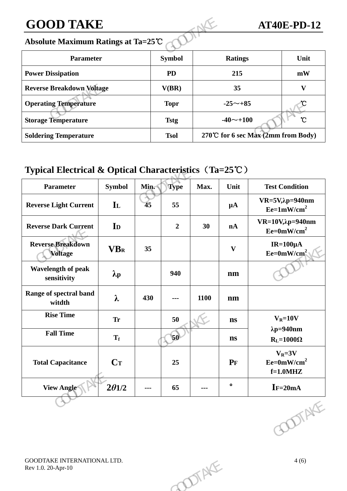# **GOOD TAKE AT40E-PD-12**

#### **Absolute Maximum Ratings at Ta=25**℃

| <b>GOOD TAKE</b>                   |               |                                    | <b>AT40E-PD-12</b>        |
|------------------------------------|---------------|------------------------------------|---------------------------|
| Absolute Maximum Ratings at Ta=25℃ |               |                                    |                           |
| <b>Parameter</b>                   | <b>Symbol</b> | <b>Ratings</b>                     | Unit                      |
| <b>Power Dissipation</b>           | <b>PD</b>     | 215                                | mW                        |
| <b>Reverse Breakdown Voltage</b>   | V(BR)         | 35                                 | $\boldsymbol{\mathrm{V}}$ |
| <b>Operating Temperature</b>       | <b>Topr</b>   | $-25 \sim +85$                     |                           |
| <b>Storage Temperature</b>         | <b>Tstg</b>   | $-40$ $\sim$ +100                  | $\mathcal{C}$             |
| <b>Soldering Temperature</b>       | <b>Tsol</b>   | 270℃ for 6 sec Max (2mm from Body) |                           |

## **Typical Electrical & Optical Characteristics**(**Ta=25**℃)

| <b>Operating Temperature</b>                                    |                   |      | <b>Topr</b>    |                      | $-25 \sim +85$ | U                                          |
|-----------------------------------------------------------------|-------------------|------|----------------|----------------------|----------------|--------------------------------------------|
| <b>Storage Temperature</b>                                      |                   |      | <b>Tstg</b>    |                      | $-40$ ~+100    | $\mathcal{C}$                              |
| <b>Soldering Temperature</b>                                    |                   |      | <b>Tsol</b>    |                      |                | 270℃ for 6 sec Max (2mm from Body)         |
| Typical Electrical & Optical Characteristics $(Ta=25^{\circ}C)$ |                   |      |                |                      |                |                                            |
| Parameter                                                       | <b>Symbol</b>     | Min. | <b>Type</b>    | Max.                 | Unit           | <b>Test Condition</b>                      |
| <b>Reverse Light Current</b>                                    | $\mathbf{I}$      | 45   | 55             |                      | $\mu A$        | $VR=5V, \lambda p=940$ nm<br>$Ee=1mW/cm^2$ |
| <b>Reverse Dark Current</b>                                     | I <sub>D</sub>    |      | $\overline{2}$ | 30                   | nA             | $VR=10V, \lambda p=940nm$<br>$Ee=0mW/cm^2$ |
| <b>Reverse Breakdown</b><br><b>Voltage</b>                      | <b>VBR</b>        | 35   |                |                      | $\mathbf{V}$   | IR= $100 \mu A$<br>$Ee=0mW/cm^2$           |
| Wavelength of peak<br>sensitivity                               | $\lambda_{\rm p}$ |      | 940            |                      | nm             |                                            |
| Range of spectral band<br>witdth                                | $\lambda$         | 430  | ---            | 1100                 | nm             |                                            |
| <b>Rise Time</b>                                                | <b>Tr</b>         |      | 50             |                      | ns             | $V_R = 10V$                                |
| <b>Fall Time</b>                                                | $T_f$             |      | $\mathbf{50}$  |                      | $\mathbf{n}$ s | $\lambda p = 940$ nm<br>$R_L = 1000\Omega$ |
| <b>Total Capacitance</b>                                        | $C_T$             |      | 25             |                      | $P_{F}$        | $V_R = 3V$<br>$Ee=0mW/cm^2$<br>$f=1.0$ MHZ |
| <b>View Angle</b>                                               | $2\theta$ 1/2     | ---  | 65             | $\scriptstyle\cdots$ | $\bullet$      | $I = 20mA$                                 |
|                                                                 |                   |      |                |                      |                | <b>DIAKE</b>                               |
| GOODTAKE INTERNATIONAL LTD.<br>Rev 1.0. 20-Apr-10               |                   |      |                | OTAKE                |                | 4(6)                                       |
|                                                                 |                   |      |                |                      |                |                                            |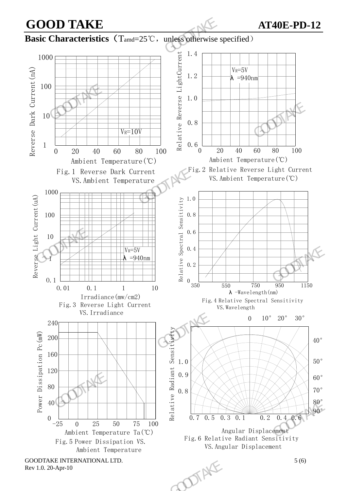



70° 80° 90°



O.1

1

10

Reverse Light Current(uA)

100

1000